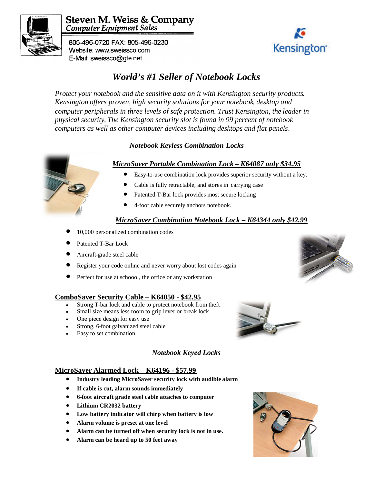

Steven M. Weiss & Company<br>Computer Equipment Sales

805-496-0720 FAX: 805-496-0230 Website: www.sweissco.com E-Mail: sweissco@gte.net

# *World's #1 Seller of Notebook Locks*

*Protect your notebook and the sensitive data on it with Kensington security products. Kensington offers proven, high security solutions for your notebook, desktop and computer peripherals in three levels of safe protection. Trust Kensington, the leader in physical security. The Kensington security slot is found in 99 percent of notebook computers as well as other computer devices including desktops and flat panels.*

# *Notebook Keyless Combination Locks*

# *MicroSaver Portable Combination Lock – K64087 only \$34.95*

- Easy-to-use combination lock provides superior security without a key.
- Cable is fully retractable, and stores in carrying case
- Patented T-Bar lock provides most secure locking
- 4-foot cable securely anchors notebook.

### *MicroSaver Combination Notebook Lock – K64344 only \$42.99*

- 10,000 personalized combination codes
- Patented T-Bar Lock
- Aircraft-grade steel cable
- Register your code online and never worry about lost codes again
- Perfect for use at schoool, the office or any workstation

#### **ComboSaver Security Cable – K64050 - \$42.95**

- Strong T-bar lock and cable to protect notebook from theft
- Small size means less room to grip lever or break lock
- One piece design for easy use
- Strong, 6-foot galvanized steel cable
- Easy to set combination

# *Notebook Keyed Locks*

#### **MicroSaver Alarmed Lock – K64196 - \$57.99**

- **Industry leading MicroSaver security lock with audible alarm**
- **If cable is cut, alarm sounds immediately**
- **6-foot aircraft grade steel cable attaches to computer**
- **Lithium CR2032 battery**
- **Low battery indicator will chirp when battery is low**
- **Alarm volume is preset at one level**
- **Alarm can be turned off when security lock is not in use.**
- **Alarm can be heard up to 50 feet away**